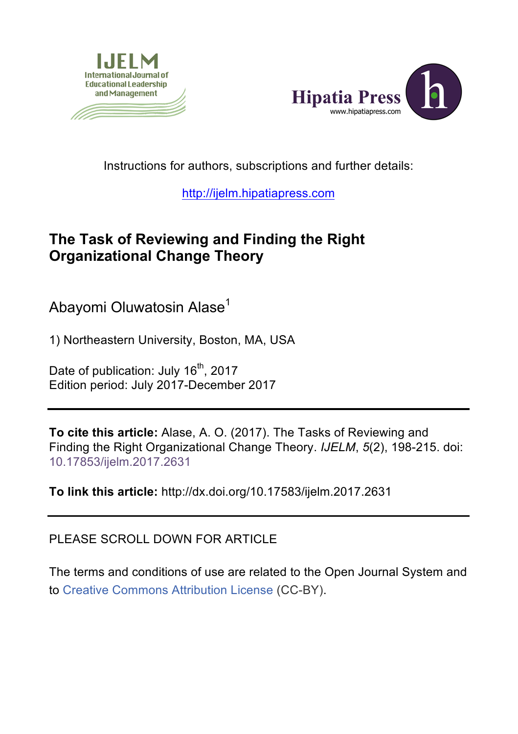



Instructions for authors, subscriptions and further details:

http://ijelm.hipatiapress.com

## **The Task of Reviewing and Finding the Right Organizational Change Theory**

Abayomi Oluwatosin Alase<sup>1</sup>

1) Northeastern University, Boston, MA, USA

Date of publication: July 16<sup>th</sup>, 2017 Edition period: July 2017-December 2017

**To cite this article:** Alase, A. O. (2017). The Tasks of Reviewing and Finding the Right Organizational Change Theory. *IJELM*, *5*(2), 198-215. doi: 10.17853/ijelm.2017.2631

**To link this article:** http://dx.doi.org/10.17583/ijelm.2017.2631

PLEASE SCROLL DOWN FOR ARTICLE

The terms and conditions of use are related to the Open Journal System and to Creative Commons Attribution License (CC-BY).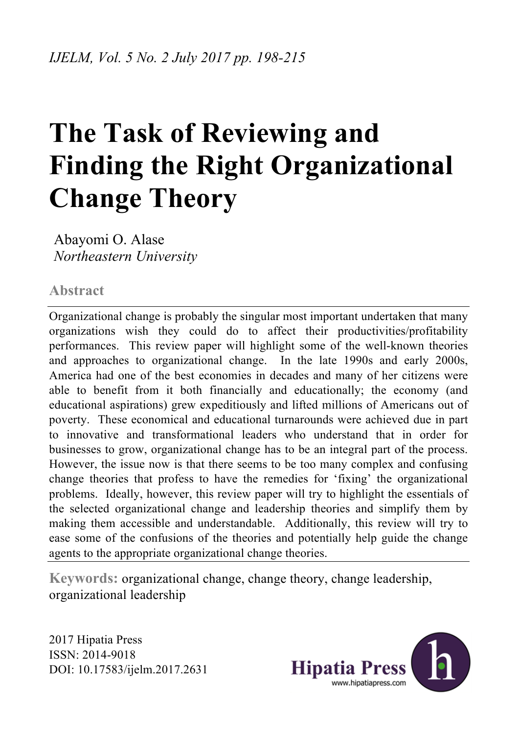# **The Task of Reviewing and Finding the Right Organizational Change Theory**

Abayomi O. Alase *Northeastern University*

**Abstract**

Organizational change is probably the singular most important undertaken that many organizations wish they could do to affect their productivities/profitability performances. This review paper will highlight some of the well-known theories and approaches to organizational change. In the late 1990s and early 2000s, America had one of the best economies in decades and many of her citizens were able to benefit from it both financially and educationally; the economy (and educational aspirations) grew expeditiously and lifted millions of Americans out of poverty. These economical and educational turnarounds were achieved due in part to innovative and transformational leaders who understand that in order for businesses to grow, organizational change has to be an integral part of the process. However, the issue now is that there seems to be too many complex and confusing change theories that profess to have the remedies for 'fixing' the organizational problems. Ideally, however, this review paper will try to highlight the essentials of the selected organizational change and leadership theories and simplify them by making them accessible and understandable. Additionally, this review will try to ease some of the confusions of the theories and potentially help guide the change agents to the appropriate organizational change theories.

**Keywords:** organizational change, change theory, change leadership, organizational leadership

2017 Hipatia Press ISSN: 2014-9018 DOI: 10.17583/ijelm.2017.2631

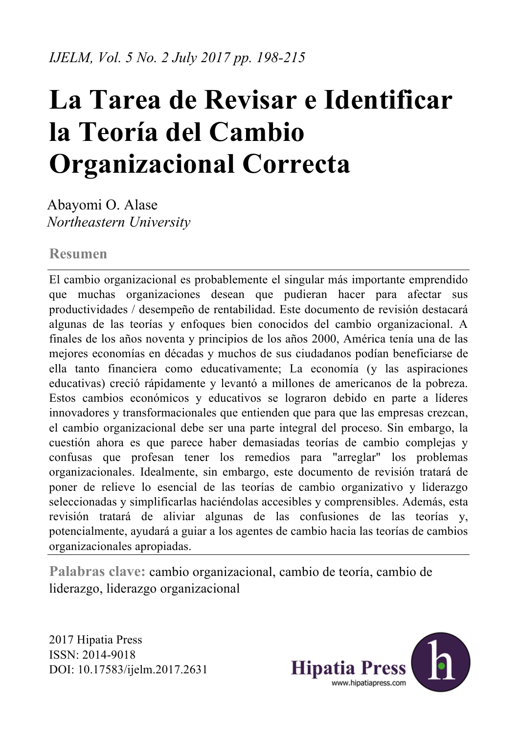# **La Tarea de Revisar e Identificar la Teoría del Cambio Organizacional Correcta**

Abayomi O. Alase *Northeastern University*

## **Resumen**

El cambio organizacional es probablemente el singular más importante emprendido que muchas organizaciones desean que pudieran hacer para afectar sus productividades / desempeño de rentabilidad. Este documento de revisión destacará algunas de las teorías y enfoques bien conocidos del cambio organizacional. A finales de los años noventa y principios de los años 2000, América tenía una de las mejores economías en décadas y muchos de sus ciudadanos podían beneficiarse de ella tanto financiera como educativamente; La economía (y las aspiraciones educativas) creció rápidamente y levantó a millones de americanos de la pobreza. Estos cambios económicos y educativos se lograron debido en parte a líderes innovadores y transformacionales que entienden que para que las empresas crezcan, el cambio organizacional debe ser una parte integral del proceso. Sin embargo, la cuestión ahora es que parece haber demasiadas teorías de cambio complejas y confusas que profesan tener los remedios para "arreglar" los problemas organizacionales. Idealmente, sin embargo, este documento de revisión tratará de poner de relieve lo esencial de las teorías de cambio organizativo y liderazgo seleccionadas y simplificarlas haciéndolas accesibles y comprensibles. Además, esta revisión tratará de aliviar algunas de las confusiones de las teorías y, potencialmente, ayudará a guiar a los agentes de cambio hacia las teorías de cambios organizacionales apropiadas.

**Palabras clave:** cambio organizacional, cambio de teoría, cambio de liderazgo, liderazgo organizacional

2017 Hipatia Press ISSN: 2014-9018 DOI: 10.17583/ijelm.2017.2631

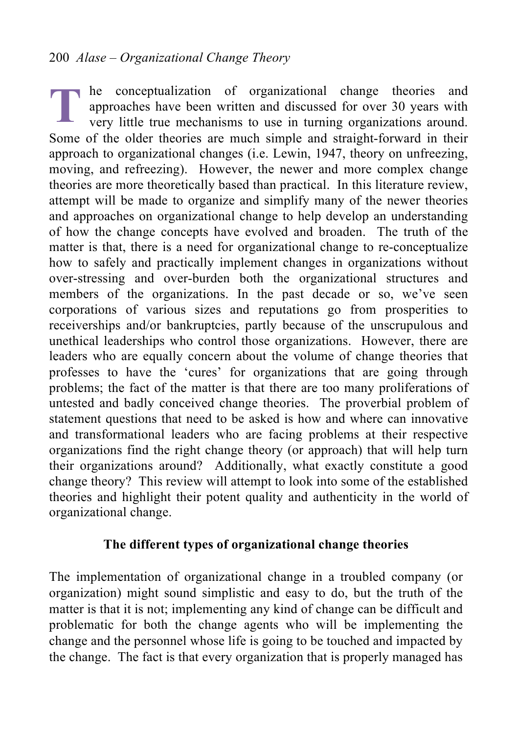he conceptualization of organizational change theories and approaches have been written and discussed for over 30 years with very little true mechanisms to use in turning organizations around. Some of the older theories are much simple and straight-forward in their approach to organizational changes (i.e. Lewin, 1947, theory on unfreezing, moving, and refreezing). However, the newer and more complex change theories are more theoretically based than practical. In this literature review, attempt will be made to organize and simplify many of the newer theories and approaches on organizational change to help develop an understanding of how the change concepts have evolved and broaden. The truth of the matter is that, there is a need for organizational change to re-conceptualize how to safely and practically implement changes in organizations without over-stressing and over-burden both the organizational structures and members of the organizations. In the past decade or so, we've seen corporations of various sizes and reputations go from prosperities to receiverships and/or bankruptcies, partly because of the unscrupulous and unethical leaderships who control those organizations. However, there are leaders who are equally concern about the volume of change theories that professes to have the 'cures' for organizations that are going through problems; the fact of the matter is that there are too many proliferations of untested and badly conceived change theories. The proverbial problem of statement questions that need to be asked is how and where can innovative and transformational leaders who are facing problems at their respective organizations find the right change theory (or approach) that will help turn their organizations around? Additionally, what exactly constitute a good change theory? This review will attempt to look into some of the established theories and highlight their potent quality and authenticity in the world of organizational change. **T**

## **The different types of organizational change theories**

The implementation of organizational change in a troubled company (or organization) might sound simplistic and easy to do, but the truth of the matter is that it is not; implementing any kind of change can be difficult and problematic for both the change agents who will be implementing the change and the personnel whose life is going to be touched and impacted by the change. The fact is that every organization that is properly managed has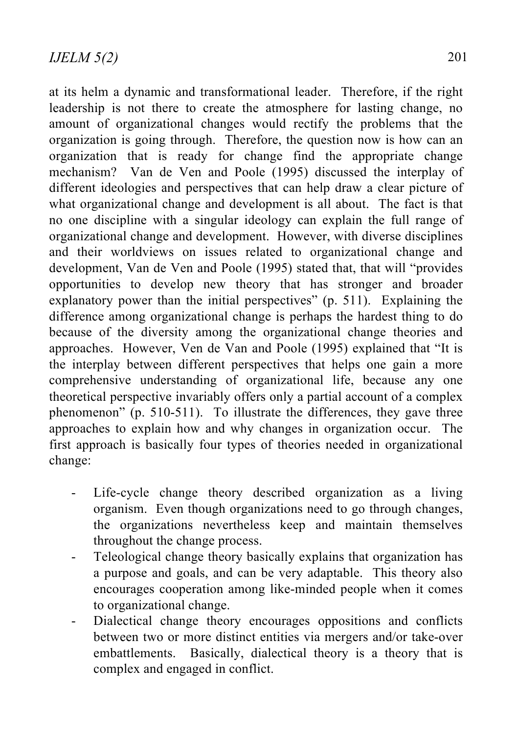at its helm a dynamic and transformational leader. Therefore, if the right leadership is not there to create the atmosphere for lasting change, no amount of organizational changes would rectify the problems that the organization is going through. Therefore, the question now is how can an organization that is ready for change find the appropriate change mechanism? Van de Ven and Poole (1995) discussed the interplay of different ideologies and perspectives that can help draw a clear picture of what organizational change and development is all about. The fact is that no one discipline with a singular ideology can explain the full range of organizational change and development. However, with diverse disciplines and their worldviews on issues related to organizational change and development, Van de Ven and Poole (1995) stated that, that will "provides opportunities to develop new theory that has stronger and broader explanatory power than the initial perspectives" (p. 511). Explaining the difference among organizational change is perhaps the hardest thing to do because of the diversity among the organizational change theories and approaches. However, Ven de Van and Poole (1995) explained that "It is the interplay between different perspectives that helps one gain a more comprehensive understanding of organizational life, because any one theoretical perspective invariably offers only a partial account of a complex phenomenon" (p. 510-511). To illustrate the differences, they gave three approaches to explain how and why changes in organization occur. The first approach is basically four types of theories needed in organizational change:

- Life-cycle change theory described organization as a living organism. Even though organizations need to go through changes, the organizations nevertheless keep and maintain themselves throughout the change process.
- Teleological change theory basically explains that organization has a purpose and goals, and can be very adaptable. This theory also encourages cooperation among like-minded people when it comes to organizational change.
- Dialectical change theory encourages oppositions and conflicts between two or more distinct entities via mergers and/or take-over embattlements. Basically, dialectical theory is a theory that is complex and engaged in conflict.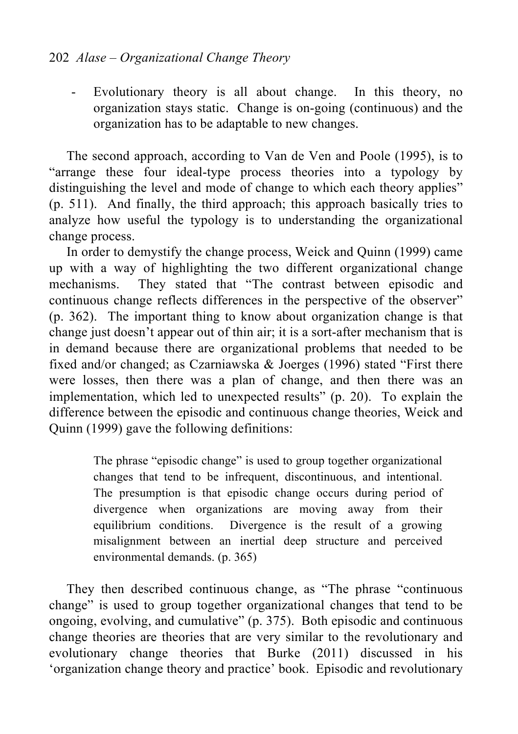- Evolutionary theory is all about change. In this theory, no organization stays static. Change is on-going (continuous) and the organization has to be adaptable to new changes.

The second approach, according to Van de Ven and Poole (1995), is to "arrange these four ideal-type process theories into a typology by distinguishing the level and mode of change to which each theory applies" (p. 511). And finally, the third approach; this approach basically tries to analyze how useful the typology is to understanding the organizational change process.

In order to demystify the change process, Weick and Quinn (1999) came up with a way of highlighting the two different organizational change mechanisms. They stated that "The contrast between episodic and continuous change reflects differences in the perspective of the observer" (p. 362). The important thing to know about organization change is that change just doesn't appear out of thin air; it is a sort-after mechanism that is in demand because there are organizational problems that needed to be fixed and/or changed; as Czarniawska & Joerges (1996) stated "First there were losses, then there was a plan of change, and then there was an implementation, which led to unexpected results" (p. 20). To explain the difference between the episodic and continuous change theories, Weick and Quinn (1999) gave the following definitions:

> The phrase "episodic change" is used to group together organizational changes that tend to be infrequent, discontinuous, and intentional. The presumption is that episodic change occurs during period of divergence when organizations are moving away from their equilibrium conditions. Divergence is the result of a growing misalignment between an inertial deep structure and perceived environmental demands. (p. 365)

They then described continuous change, as "The phrase "continuous change" is used to group together organizational changes that tend to be ongoing, evolving, and cumulative" (p. 375). Both episodic and continuous change theories are theories that are very similar to the revolutionary and evolutionary change theories that Burke (2011) discussed in his 'organization change theory and practice' book. Episodic and revolutionary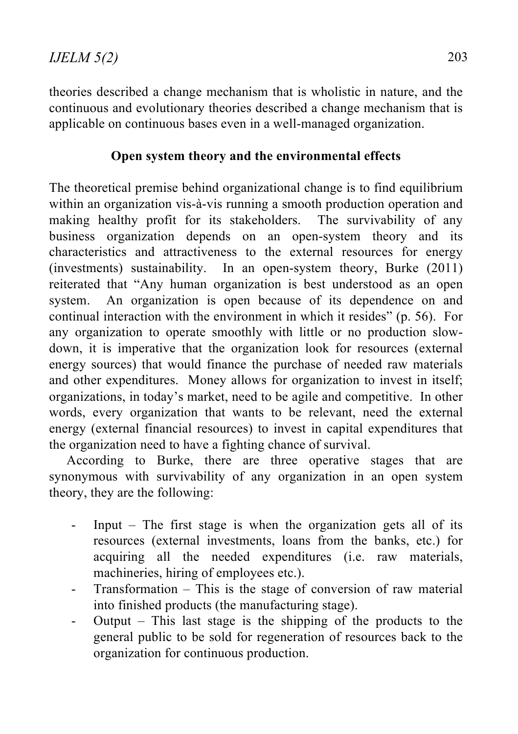theories described a change mechanism that is wholistic in nature, and the continuous and evolutionary theories described a change mechanism that is applicable on continuous bases even in a well-managed organization.

## **Open system theory and the environmental effects**

The theoretical premise behind organizational change is to find equilibrium within an organization vis-à-vis running a smooth production operation and making healthy profit for its stakeholders. The survivability of any business organization depends on an open-system theory and its characteristics and attractiveness to the external resources for energy (investments) sustainability. In an open-system theory, Burke (2011) reiterated that "Any human organization is best understood as an open system. An organization is open because of its dependence on and continual interaction with the environment in which it resides" (p. 56). For any organization to operate smoothly with little or no production slowdown, it is imperative that the organization look for resources (external energy sources) that would finance the purchase of needed raw materials and other expenditures. Money allows for organization to invest in itself; organizations, in today's market, need to be agile and competitive. In other words, every organization that wants to be relevant, need the external energy (external financial resources) to invest in capital expenditures that the organization need to have a fighting chance of survival.

According to Burke, there are three operative stages that are synonymous with survivability of any organization in an open system theory, they are the following:

- Input The first stage is when the organization gets all of its resources (external investments, loans from the banks, etc.) for acquiring all the needed expenditures (i.e. raw materials, machineries, hiring of employees etc.).
- Transformation This is the stage of conversion of raw material into finished products (the manufacturing stage).
- Output This last stage is the shipping of the products to the general public to be sold for regeneration of resources back to the organization for continuous production.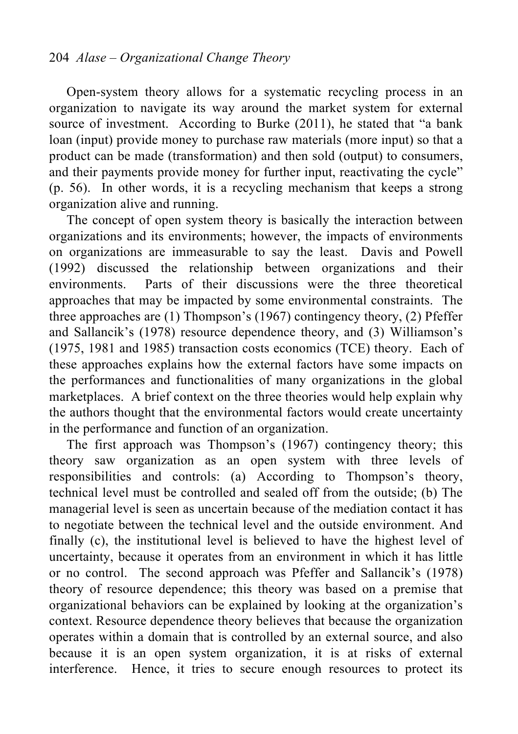Open-system theory allows for a systematic recycling process in an organization to navigate its way around the market system for external source of investment. According to Burke (2011), he stated that "a bank loan (input) provide money to purchase raw materials (more input) so that a product can be made (transformation) and then sold (output) to consumers, and their payments provide money for further input, reactivating the cycle" (p. 56). In other words, it is a recycling mechanism that keeps a strong organization alive and running.

The concept of open system theory is basically the interaction between organizations and its environments; however, the impacts of environments on organizations are immeasurable to say the least. Davis and Powell (1992) discussed the relationship between organizations and their environments. Parts of their discussions were the three theoretical approaches that may be impacted by some environmental constraints. The three approaches are (1) Thompson's (1967) contingency theory, (2) Pfeffer and Sallancik's (1978) resource dependence theory, and (3) Williamson's (1975, 1981 and 1985) transaction costs economics (TCE) theory. Each of these approaches explains how the external factors have some impacts on the performances and functionalities of many organizations in the global marketplaces. A brief context on the three theories would help explain why the authors thought that the environmental factors would create uncertainty in the performance and function of an organization.

The first approach was Thompson's (1967) contingency theory; this theory saw organization as an open system with three levels of responsibilities and controls: (a) According to Thompson's theory, technical level must be controlled and sealed off from the outside; (b) The managerial level is seen as uncertain because of the mediation contact it has to negotiate between the technical level and the outside environment. And finally (c), the institutional level is believed to have the highest level of uncertainty, because it operates from an environment in which it has little or no control. The second approach was Pfeffer and Sallancik's (1978) theory of resource dependence; this theory was based on a premise that organizational behaviors can be explained by looking at the organization's context. Resource dependence theory believes that because the organization operates within a domain that is controlled by an external source, and also because it is an open system organization, it is at risks of external interference. Hence, it tries to secure enough resources to protect its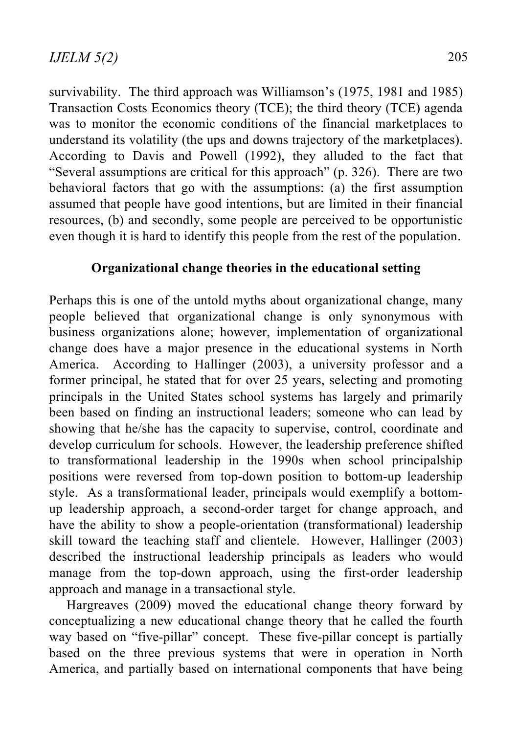survivability. The third approach was Williamson's (1975, 1981 and 1985) Transaction Costs Economics theory (TCE); the third theory (TCE) agenda was to monitor the economic conditions of the financial marketplaces to understand its volatility (the ups and downs trajectory of the marketplaces). According to Davis and Powell (1992), they alluded to the fact that "Several assumptions are critical for this approach" (p. 326). There are two behavioral factors that go with the assumptions: (a) the first assumption assumed that people have good intentions, but are limited in their financial resources, (b) and secondly, some people are perceived to be opportunistic even though it is hard to identify this people from the rest of the population.

## **Organizational change theories in the educational setting**

Perhaps this is one of the untold myths about organizational change, many people believed that organizational change is only synonymous with business organizations alone; however, implementation of organizational change does have a major presence in the educational systems in North America. According to Hallinger (2003), a university professor and a former principal, he stated that for over 25 years, selecting and promoting principals in the United States school systems has largely and primarily been based on finding an instructional leaders; someone who can lead by showing that he/she has the capacity to supervise, control, coordinate and develop curriculum for schools. However, the leadership preference shifted to transformational leadership in the 1990s when school principalship positions were reversed from top-down position to bottom-up leadership style. As a transformational leader, principals would exemplify a bottomup leadership approach, a second-order target for change approach, and have the ability to show a people-orientation (transformational) leadership skill toward the teaching staff and clientele. However, Hallinger (2003) described the instructional leadership principals as leaders who would manage from the top-down approach, using the first-order leadership approach and manage in a transactional style.

Hargreaves (2009) moved the educational change theory forward by conceptualizing a new educational change theory that he called the fourth way based on "five-pillar" concept. These five-pillar concept is partially based on the three previous systems that were in operation in North America, and partially based on international components that have being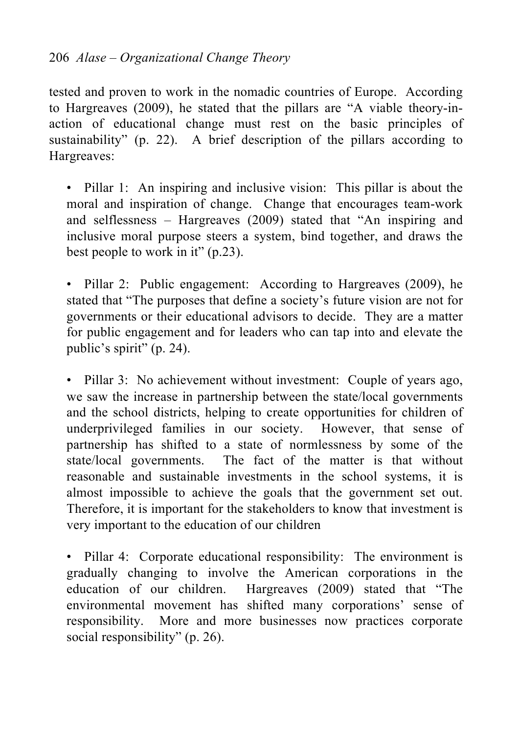## 206 *Alase – Organizational Change Theory*

tested and proven to work in the nomadic countries of Europe. According to Hargreaves (2009), he stated that the pillars are "A viable theory-inaction of educational change must rest on the basic principles of sustainability" (p. 22). A brief description of the pillars according to Hargreaves:

• Pillar 1: An inspiring and inclusive vision: This pillar is about the moral and inspiration of change. Change that encourages team-work and selflessness – Hargreaves (2009) stated that "An inspiring and inclusive moral purpose steers a system, bind together, and draws the best people to work in it" (p.23).

• Pillar 2: Public engagement: According to Hargreaves (2009), he stated that "The purposes that define a society's future vision are not for governments or their educational advisors to decide. They are a matter for public engagement and for leaders who can tap into and elevate the public's spirit" (p. 24).

• Pillar 3: No achievement without investment: Couple of years ago, we saw the increase in partnership between the state/local governments and the school districts, helping to create opportunities for children of underprivileged families in our society. However, that sense of partnership has shifted to a state of normlessness by some of the state/local governments. The fact of the matter is that without reasonable and sustainable investments in the school systems, it is almost impossible to achieve the goals that the government set out. Therefore, it is important for the stakeholders to know that investment is very important to the education of our children

• Pillar 4: Corporate educational responsibility: The environment is gradually changing to involve the American corporations in the education of our children. Hargreaves (2009) stated that "The environmental movement has shifted many corporations' sense of responsibility. More and more businesses now practices corporate social responsibility" (p. 26).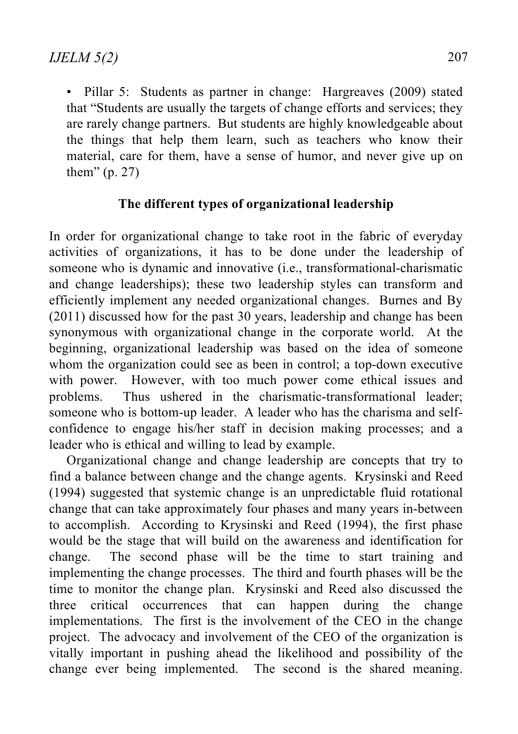• Pillar 5: Students as partner in change: Hargreaves (2009) stated that "Students are usually the targets of change efforts and services; they are rarely change partners. But students are highly knowledgeable about the things that help them learn, such as teachers who know their material, care for them, have a sense of humor, and never give up on them" (p. 27)

### **The different types of organizational leadership**

In order for organizational change to take root in the fabric of everyday activities of organizations, it has to be done under the leadership of someone who is dynamic and innovative (i.e., transformational-charismatic and change leaderships); these two leadership styles can transform and efficiently implement any needed organizational changes. Burnes and By (2011) discussed how for the past 30 years, leadership and change has been synonymous with organizational change in the corporate world. At the beginning, organizational leadership was based on the idea of someone whom the organization could see as been in control; a top-down executive with power. However, with too much power come ethical issues and problems. Thus ushered in the charismatic-transformational leader; someone who is bottom-up leader. A leader who has the charisma and selfconfidence to engage his/her staff in decision making processes; and a leader who is ethical and willing to lead by example.

Organizational change and change leadership are concepts that try to find a balance between change and the change agents. Krysinski and Reed (1994) suggested that systemic change is an unpredictable fluid rotational change that can take approximately four phases and many years in-between to accomplish. According to Krysinski and Reed (1994), the first phase would be the stage that will build on the awareness and identification for change. The second phase will be the time to start training and implementing the change processes. The third and fourth phases will be the time to monitor the change plan. Krysinski and Reed also discussed the three critical occurrences that can happen during the change implementations. The first is the involvement of the CEO in the change project. The advocacy and involvement of the CEO of the organization is vitally important in pushing ahead the likelihood and possibility of the change ever being implemented. The second is the shared meaning.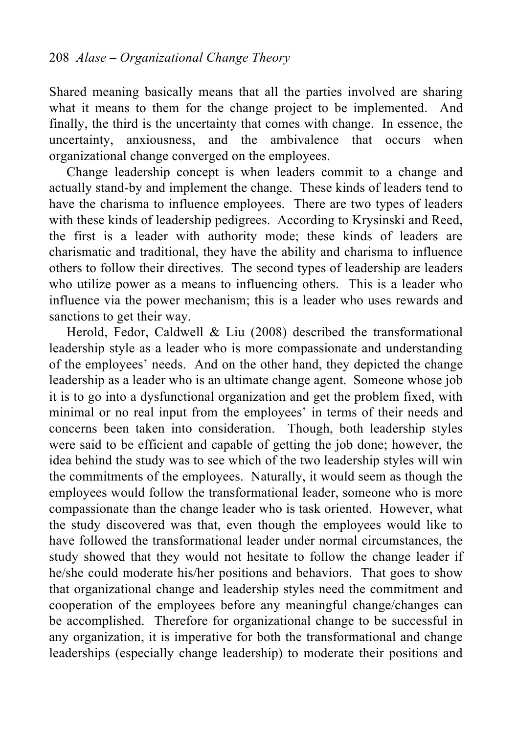Shared meaning basically means that all the parties involved are sharing what it means to them for the change project to be implemented. And finally, the third is the uncertainty that comes with change. In essence, the uncertainty, anxiousness, and the ambivalence that occurs when organizational change converged on the employees.

Change leadership concept is when leaders commit to a change and actually stand-by and implement the change. These kinds of leaders tend to have the charisma to influence employees. There are two types of leaders with these kinds of leadership pedigrees. According to Krysinski and Reed, the first is a leader with authority mode; these kinds of leaders are charismatic and traditional, they have the ability and charisma to influence others to follow their directives. The second types of leadership are leaders who utilize power as a means to influencing others. This is a leader who influence via the power mechanism; this is a leader who uses rewards and sanctions to get their way.

Herold, Fedor, Caldwell & Liu (2008) described the transformational leadership style as a leader who is more compassionate and understanding of the employees' needs. And on the other hand, they depicted the change leadership as a leader who is an ultimate change agent. Someone whose job it is to go into a dysfunctional organization and get the problem fixed, with minimal or no real input from the employees' in terms of their needs and concerns been taken into consideration. Though, both leadership styles were said to be efficient and capable of getting the job done; however, the idea behind the study was to see which of the two leadership styles will win the commitments of the employees. Naturally, it would seem as though the employees would follow the transformational leader, someone who is more compassionate than the change leader who is task oriented. However, what the study discovered was that, even though the employees would like to have followed the transformational leader under normal circumstances, the study showed that they would not hesitate to follow the change leader if he/she could moderate his/her positions and behaviors. That goes to show that organizational change and leadership styles need the commitment and cooperation of the employees before any meaningful change/changes can be accomplished. Therefore for organizational change to be successful in any organization, it is imperative for both the transformational and change leaderships (especially change leadership) to moderate their positions and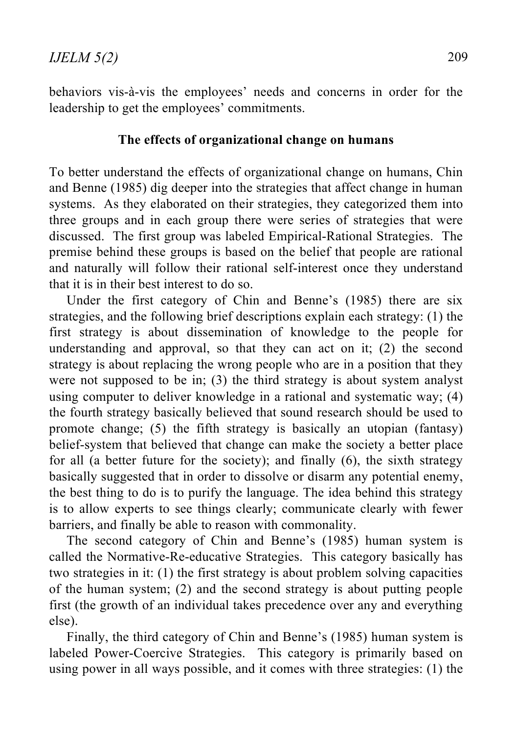behaviors vis-à-vis the employees' needs and concerns in order for the leadership to get the employees' commitments.

## **The effects of organizational change on humans**

To better understand the effects of organizational change on humans, Chin and Benne (1985) dig deeper into the strategies that affect change in human systems. As they elaborated on their strategies, they categorized them into three groups and in each group there were series of strategies that were discussed. The first group was labeled Empirical-Rational Strategies. The premise behind these groups is based on the belief that people are rational and naturally will follow their rational self-interest once they understand that it is in their best interest to do so.

Under the first category of Chin and Benne's (1985) there are six strategies, and the following brief descriptions explain each strategy: (1) the first strategy is about dissemination of knowledge to the people for understanding and approval, so that they can act on it; (2) the second strategy is about replacing the wrong people who are in a position that they were not supposed to be in; (3) the third strategy is about system analyst using computer to deliver knowledge in a rational and systematic way; (4) the fourth strategy basically believed that sound research should be used to promote change; (5) the fifth strategy is basically an utopian (fantasy) belief-system that believed that change can make the society a better place for all (a better future for the society); and finally (6), the sixth strategy basically suggested that in order to dissolve or disarm any potential enemy, the best thing to do is to purify the language. The idea behind this strategy is to allow experts to see things clearly; communicate clearly with fewer barriers, and finally be able to reason with commonality.

The second category of Chin and Benne's (1985) human system is called the Normative-Re-educative Strategies. This category basically has two strategies in it: (1) the first strategy is about problem solving capacities of the human system; (2) and the second strategy is about putting people first (the growth of an individual takes precedence over any and everything else).

Finally, the third category of Chin and Benne's (1985) human system is labeled Power-Coercive Strategies. This category is primarily based on using power in all ways possible, and it comes with three strategies: (1) the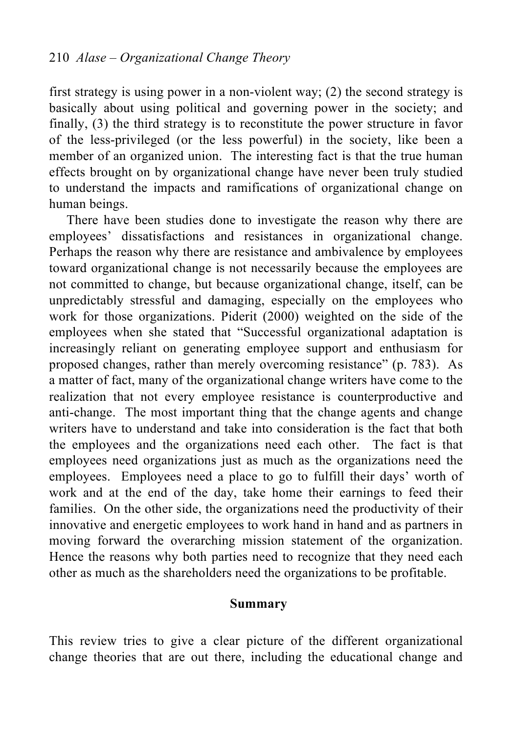first strategy is using power in a non-violent way; (2) the second strategy is basically about using political and governing power in the society; and finally, (3) the third strategy is to reconstitute the power structure in favor of the less-privileged (or the less powerful) in the society, like been a member of an organized union. The interesting fact is that the true human effects brought on by organizational change have never been truly studied to understand the impacts and ramifications of organizational change on human beings.

There have been studies done to investigate the reason why there are employees' dissatisfactions and resistances in organizational change. Perhaps the reason why there are resistance and ambivalence by employees toward organizational change is not necessarily because the employees are not committed to change, but because organizational change, itself, can be unpredictably stressful and damaging, especially on the employees who work for those organizations. Piderit (2000) weighted on the side of the employees when she stated that "Successful organizational adaptation is increasingly reliant on generating employee support and enthusiasm for proposed changes, rather than merely overcoming resistance" (p. 783). As a matter of fact, many of the organizational change writers have come to the realization that not every employee resistance is counterproductive and anti-change. The most important thing that the change agents and change writers have to understand and take into consideration is the fact that both the employees and the organizations need each other. The fact is that employees need organizations just as much as the organizations need the employees. Employees need a place to go to fulfill their days' worth of work and at the end of the day, take home their earnings to feed their families. On the other side, the organizations need the productivity of their innovative and energetic employees to work hand in hand and as partners in moving forward the overarching mission statement of the organization. Hence the reasons why both parties need to recognize that they need each other as much as the shareholders need the organizations to be profitable.

#### **Summary**

This review tries to give a clear picture of the different organizational change theories that are out there, including the educational change and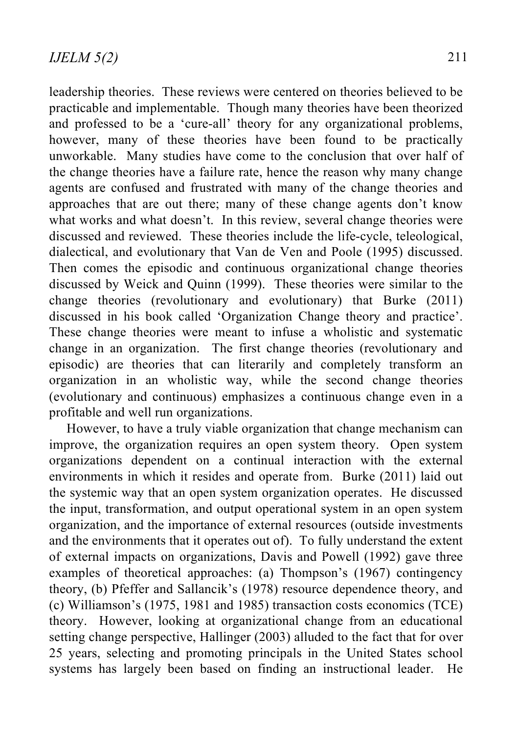leadership theories. These reviews were centered on theories believed to be practicable and implementable. Though many theories have been theorized and professed to be a 'cure-all' theory for any organizational problems, however, many of these theories have been found to be practically unworkable. Many studies have come to the conclusion that over half of the change theories have a failure rate, hence the reason why many change agents are confused and frustrated with many of the change theories and approaches that are out there; many of these change agents don't know what works and what doesn't. In this review, several change theories were discussed and reviewed. These theories include the life-cycle, teleological, dialectical, and evolutionary that Van de Ven and Poole (1995) discussed. Then comes the episodic and continuous organizational change theories discussed by Weick and Quinn (1999). These theories were similar to the change theories (revolutionary and evolutionary) that Burke (2011) discussed in his book called 'Organization Change theory and practice'. These change theories were meant to infuse a wholistic and systematic change in an organization. The first change theories (revolutionary and episodic) are theories that can literarily and completely transform an organization in an wholistic way, while the second change theories (evolutionary and continuous) emphasizes a continuous change even in a profitable and well run organizations.

However, to have a truly viable organization that change mechanism can improve, the organization requires an open system theory. Open system organizations dependent on a continual interaction with the external environments in which it resides and operate from. Burke (2011) laid out the systemic way that an open system organization operates. He discussed the input, transformation, and output operational system in an open system organization, and the importance of external resources (outside investments and the environments that it operates out of). To fully understand the extent of external impacts on organizations, Davis and Powell (1992) gave three examples of theoretical approaches: (a) Thompson's (1967) contingency theory, (b) Pfeffer and Sallancik's (1978) resource dependence theory, and (c) Williamson's (1975, 1981 and 1985) transaction costs economics (TCE) theory. However, looking at organizational change from an educational setting change perspective, Hallinger (2003) alluded to the fact that for over 25 years, selecting and promoting principals in the United States school systems has largely been based on finding an instructional leader. He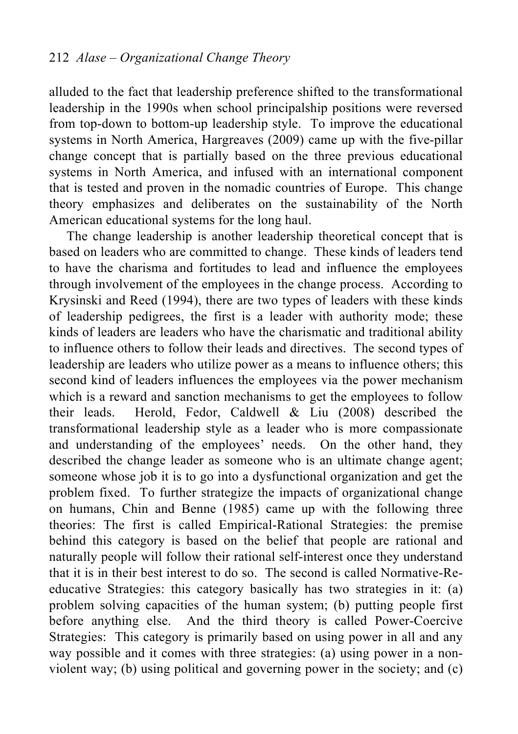alluded to the fact that leadership preference shifted to the transformational leadership in the 1990s when school principalship positions were reversed from top-down to bottom-up leadership style. To improve the educational systems in North America, Hargreaves (2009) came up with the five-pillar change concept that is partially based on the three previous educational systems in North America, and infused with an international component that is tested and proven in the nomadic countries of Europe. This change theory emphasizes and deliberates on the sustainability of the North American educational systems for the long haul.

The change leadership is another leadership theoretical concept that is based on leaders who are committed to change. These kinds of leaders tend to have the charisma and fortitudes to lead and influence the employees through involvement of the employees in the change process. According to Krysinski and Reed (1994), there are two types of leaders with these kinds of leadership pedigrees, the first is a leader with authority mode; these kinds of leaders are leaders who have the charismatic and traditional ability to influence others to follow their leads and directives. The second types of leadership are leaders who utilize power as a means to influence others; this second kind of leaders influences the employees via the power mechanism which is a reward and sanction mechanisms to get the employees to follow their leads. Herold, Fedor, Caldwell & Liu (2008) described the transformational leadership style as a leader who is more compassionate and understanding of the employees' needs. On the other hand, they described the change leader as someone who is an ultimate change agent; someone whose job it is to go into a dysfunctional organization and get the problem fixed. To further strategize the impacts of organizational change on humans, Chin and Benne (1985) came up with the following three theories: The first is called Empirical-Rational Strategies: the premise behind this category is based on the belief that people are rational and naturally people will follow their rational self-interest once they understand that it is in their best interest to do so. The second is called Normative-Reeducative Strategies: this category basically has two strategies in it: (a) problem solving capacities of the human system; (b) putting people first before anything else. And the third theory is called Power-Coercive Strategies: This category is primarily based on using power in all and any way possible and it comes with three strategies: (a) using power in a nonviolent way; (b) using political and governing power in the society; and (c)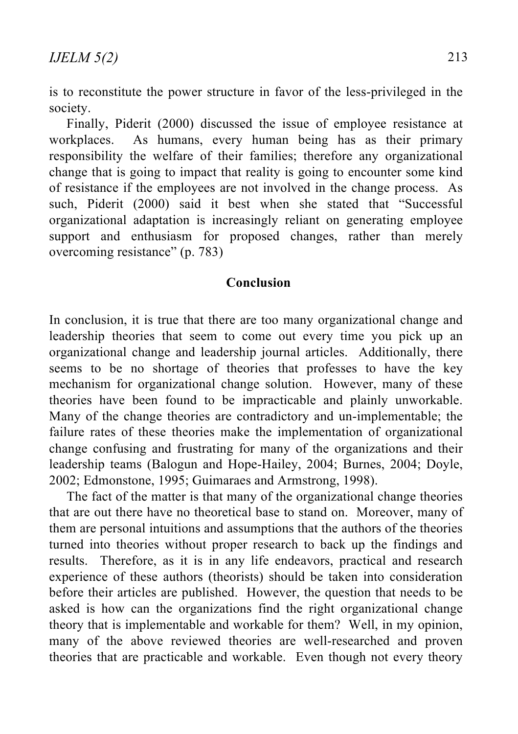is to reconstitute the power structure in favor of the less-privileged in the society.

Finally, Piderit (2000) discussed the issue of employee resistance at workplaces. As humans, every human being has as their primary responsibility the welfare of their families; therefore any organizational change that is going to impact that reality is going to encounter some kind of resistance if the employees are not involved in the change process. As such, Piderit (2000) said it best when she stated that "Successful organizational adaptation is increasingly reliant on generating employee support and enthusiasm for proposed changes, rather than merely overcoming resistance" (p. 783)

#### **Conclusion**

In conclusion, it is true that there are too many organizational change and leadership theories that seem to come out every time you pick up an organizational change and leadership journal articles. Additionally, there seems to be no shortage of theories that professes to have the key mechanism for organizational change solution. However, many of these theories have been found to be impracticable and plainly unworkable. Many of the change theories are contradictory and un-implementable; the failure rates of these theories make the implementation of organizational change confusing and frustrating for many of the organizations and their leadership teams (Balogun and Hope-Hailey, 2004; Burnes, 2004; Doyle, 2002; Edmonstone, 1995; Guimaraes and Armstrong, 1998).

The fact of the matter is that many of the organizational change theories that are out there have no theoretical base to stand on. Moreover, many of them are personal intuitions and assumptions that the authors of the theories turned into theories without proper research to back up the findings and results. Therefore, as it is in any life endeavors, practical and research experience of these authors (theorists) should be taken into consideration before their articles are published. However, the question that needs to be asked is how can the organizations find the right organizational change theory that is implementable and workable for them? Well, in my opinion, many of the above reviewed theories are well-researched and proven theories that are practicable and workable. Even though not every theory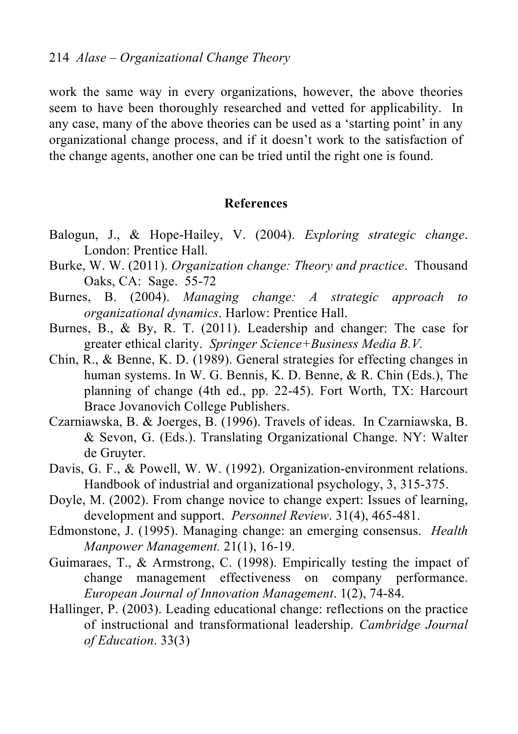work the same way in every organizations, however, the above theories seem to have been thoroughly researched and vetted for applicability. In any case, many of the above theories can be used as a 'starting point' in any organizational change process, and if it doesn't work to the satisfaction of the change agents, another one can be tried until the right one is found.

#### **References**

- Balogun, J., & Hope-Hailey, V. (2004). *Exploring strategic change*. London: Prentice Hall.
- Burke, W. W. (2011). *Organization change: Theory and practice*. Thousand Oaks, CA: Sage. 55-72
- Burnes, B. (2004). *Managing change: A strategic approach to organizational dynamics*. Harlow: Prentice Hall.
- Burnes, B., & By, R. T. (2011). Leadership and changer: The case for greater ethical clarity. *Springer Science+Business Media B.V.*
- Chin, R., & Benne, K. D. (1989). General strategies for effecting changes in human systems. In W. G. Bennis, K. D. Benne, & R. Chin (Eds.), The planning of change (4th ed., pp. 22-45). Fort Worth, TX: Harcourt Brace Jovanovich College Publishers.
- Czarniawska, B. & Joerges, B. (1996). Travels of ideas. In Czarniawska, B. & Sevon, G. (Eds.). Translating Organizational Change. NY: Walter de Gruyter.
- Davis, G. F., & Powell, W. W. (1992). Organization-environment relations. Handbook of industrial and organizational psychology, 3, 315-375.
- Doyle, M. (2002). From change novice to change expert: Issues of learning, development and support. *Personnel Review*. 31(4), 465-481.
- Edmonstone, J. (1995). Managing change: an emerging consensus. *Health Manpower Management.* 21(1), 16-19.
- Guimaraes, T., & Armstrong, C. (1998). Empirically testing the impact of change management effectiveness on company performance. *European Journal of Innovation Management*. 1(2), 74-84.
- Hallinger, P. (2003). Leading educational change: reflections on the practice of instructional and transformational leadership. *Cambridge Journal of Education*. 33(3)